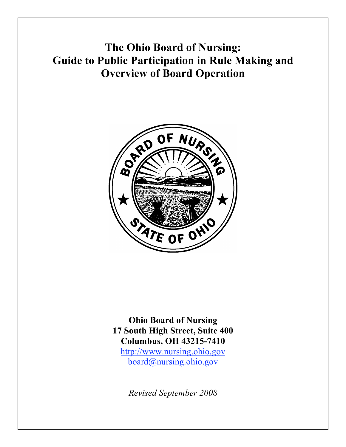**The Ohio Board of Nursing: Guide to Public Participation in Rule Making and Overview of Board Operation**



**Ohio Board of Nursing 17 South High Street, Suite 400 Columbus, OH 43215-7410** http://www.nursing.ohio.gov board@nursing.ohio.gov

*Revised September 2008*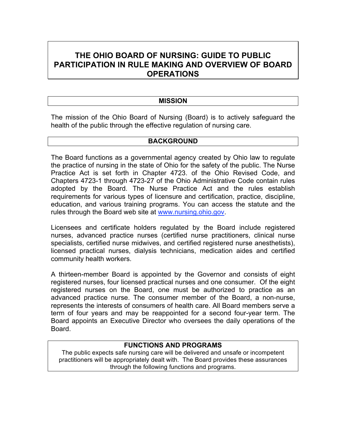# **THE OHIO BOARD OF NURSING: GUIDE TO PUBLIC PARTICIPATION IN RULE MAKING AND OVERVIEW OF BOARD OPERATIONS**

#### **MISSION**

The mission of the Ohio Board of Nursing (Board) is to actively safeguard the health of the public through the effective regulation of nursing care.

#### **BACKGROUND**

The Board functions as a governmental agency created by Ohio law to regulate the practice of nursing in the state of Ohio for the safety of the public. The Nurse Practice Act is set forth in Chapter 4723. of the Ohio Revised Code, and Chapters 4723-1 through 4723-27 of the Ohio Administrative Code contain rules adopted by the Board. The Nurse Practice Act and the rules establish requirements for various types of licensure and certification, practice, discipline, education, and various training programs. You can access the statute and the rules through the Board web site at www.nursing.ohio.gov.

Licensees and certificate holders regulated by the Board include registered nurses, advanced practice nurses (certified nurse practitioners, clinical nurse specialists, certified nurse midwives, and certified registered nurse anesthetists), licensed practical nurses, dialysis technicians, medication aides and certified community health workers.

A thirteen-member Board is appointed by the Governor and consists of eight registered nurses, four licensed practical nurses and one consumer. Of the eight registered nurses on the Board, one must be authorized to practice as an advanced practice nurse. The consumer member of the Board, a non-nurse, represents the interests of consumers of health care. All Board members serve a term of four years and may be reappointed for a second four-year term. The Board appoints an Executive Director who oversees the daily operations of the Board.

#### **FUNCTIONS AND PROGRAMS**

The public expects safe nursing care will be delivered and unsafe or incompetent practitioners will be appropriately dealt with. The Board provides these assurances through the following functions and programs.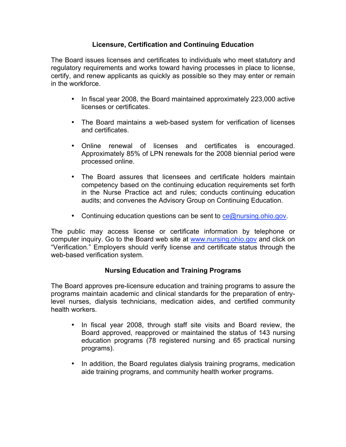## **Licensure, Certification and Continuing Education**

The Board issues licenses and certificates to individuals who meet statutory and regulatory requirements and works toward having processes in place to license, certify, and renew applicants as quickly as possible so they may enter or remain in the workforce.

- In fiscal year 2008, the Board maintained approximately 223,000 active licenses or certificates.
- The Board maintains a web-based system for verification of licenses and certificates.
- Online renewal of licenses and certificates is encouraged. Approximately 85% of LPN renewals for the 2008 biennial period were processed online.
- The Board assures that licensees and certificate holders maintain competency based on the continuing education requirements set forth in the Nurse Practice act and rules; conducts continuing education audits; and convenes the Advisory Group on Continuing Education.
- Continuing education questions can be sent to ce@nursing.ohio.gov.

The public may access license or certificate information by telephone or computer inquiry. Go to the Board web site at www.nursing.ohio.gov and click on "Verification." Employers should verify license and certificate status through the web-based verification system.

# **Nursing Education and Training Programs**

The Board approves pre-licensure education and training programs to assure the programs maintain academic and clinical standards for the preparation of entrylevel nurses, dialysis technicians, medication aides, and certified community health workers.

- In fiscal year 2008, through staff site visits and Board review, the Board approved, reapproved or maintained the status of 143 nursing education programs (78 registered nursing and 65 practical nursing programs).
- In addition, the Board regulates dialysis training programs, medication aide training programs, and community health worker programs.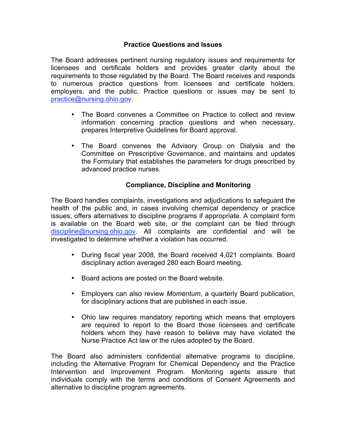## **Practice Questions and Issues**

The Board addresses pertinent nursing regulatory issues and requirements for licensees and certificate holders and provides greater clarity about the requirements to those regulated by the Board. The Board receives and responds to numerous practice questions from licensees and certificate holders, employers, and the public. Practice questions or issues may be sent to practice@nursing.ohio.gov.

- The Board convenes a Committee on Practice to collect and review information concerning practice questions and when necessary, prepares Interpretive Guidelines for Board approval.
- The Board convenes the Advisory Group on Dialysis and the Committee on Prescriptive Governance, and maintains and updates the Formulary that establishes the parameters for drugs prescribed by advanced practice nurses.

# **Compliance, Discipline and Monitoring**

The Board handles complaints, investigations and adjudications to safeguard the health of the public and, in cases involving chemical dependency or practice issues, offers alternatives to discipline programs if appropriate. A complaint form is available on the Board web site, or the complaint can be filed through discipline@nursing.ohio.gov. All complaints are confidential and will be investigated to determine whether a violation has occurred.

- During fiscal year 2008, the Board received 4,021 complaints. Board disciplinary action averaged 280 each Board meeting.
- Board actions are posted on the Board website.
- Employers can also review *Momentum*, a quarterly Board publication, for disciplinary actions that are published in each issue.
- Ohio law requires mandatory reporting which means that employers are required to report to the Board those licensees and certificate holders whom they have reason to believe may have violated the Nurse Practice Act law or the rules adopted by the Board.

The Board also administers confidential alternative programs to discipline, including the Alternative Program for Chemical Dependency and the Practice Intervention and Improvement Program. Monitoring agents assure that individuals comply with the terms and conditions of Consent Agreements and alternative to discipline program agreements.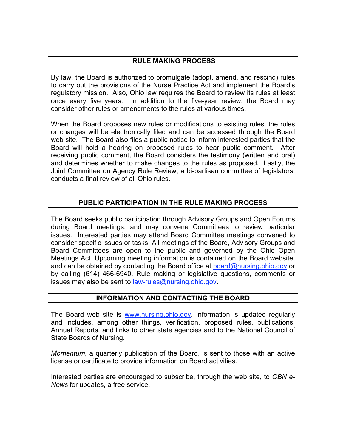## **RULE MAKING PROCESS**

By law, the Board is authorized to promulgate (adopt, amend, and rescind) rules to carry out the provisions of the Nurse Practice Act and implement the Board's regulatory mission. Also, Ohio law requires the Board to review its rules at least once every five years. In addition to the five-year review, the Board may consider other rules or amendments to the rules at various times.

When the Board proposes new rules or modifications to existing rules, the rules or changes will be electronically filed and can be accessed through the Board web site. The Board also files a public notice to inform interested parties that the Board will hold a hearing on proposed rules to hear public comment. After receiving public comment, the Board considers the testimony (written and oral) and determines whether to make changes to the rules as proposed. Lastly, the Joint Committee on Agency Rule Review, a bi-partisan committee of legislators, conducts a final review of all Ohio rules.

## **PUBLIC PARTICIPATION IN THE RULE MAKING PROCESS**

The Board seeks public participation through Advisory Groups and Open Forums during Board meetings, and may convene Committees to review particular issues. Interested parties may attend Board Committee meetings convened to consider specific issues or tasks. All meetings of the Board, Advisory Groups and Board Committees are open to the public and governed by the Ohio Open Meetings Act. Upcoming meeting information is contained on the Board website, and can be obtained by contacting the Board office at board@nursing.ohio.gov or by calling (614) 466-6940. Rule making or legislative questions, comments or issues may also be sent to law-rules@nursing.ohio.gov.

#### **INFORMATION AND CONTACTING THE BOARD**

The Board web site is www.nursing.ohio.gov. Information is updated regularly and includes, among other things, verification, proposed rules, publications, Annual Reports, and links to other state agencies and to the National Council of State Boards of Nursing.

*Momentum*, a quarterly publication of the Board, is sent to those with an active license or certificate to provide information on Board activities.

Interested parties are encouraged to subscribe, through the web site, to *OBN e-News* for updates, a free service.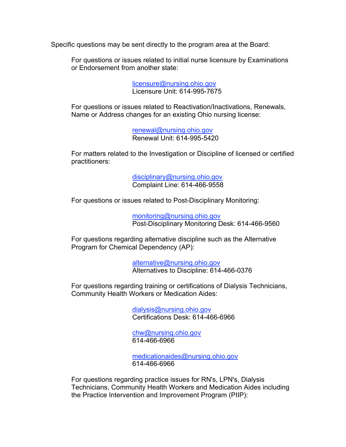Specific questions may be sent directly to the program area at the Board:

For questions or issues related to initial nurse licensure by Examinations or Endorsement from another state:

> licensure@nursing.ohio.gov Licensure Unit: 614-995-7675

For questions or issues related to Reactivation/Inactivations, Renewals, Name or Address changes for an existing Ohio nursing license:

> renewal@nursing.ohio.gov Renewal Unit: 614-995-5420

For matters related to the Investigation or Discipline of licensed or certified practitioners:

> disciplinary@nursing.ohio.gov Complaint Line: 614-466-9558

For questions or issues related to Post-Disciplinary Monitoring:

monitoring@nursing.ohio.gov Post-Disciplinary Monitoring Desk: 614-466-9560

For questions regarding alternative discipline such as the Alternative Program for Chemical Dependency (AP):

> alternative@nursing.ohio.gov Alternatives to Discipline: 614-466-0376

For questions regarding training or certifications of Dialysis Technicians, Community Health Workers or Medication Aides:

> dialysis@nursing.ohio.gov Certifications Desk: 614-466-6966

chw@nursing.ohio.gov 614-466-6966

medicationaides@nursing.ohio.gov 614-466-6966

For questions regarding practice issues for RN's, LPN's, Dialysis Technicians, Community Health Workers and Medication Aides including the Practice Intervention and Improvement Program (PIIP):